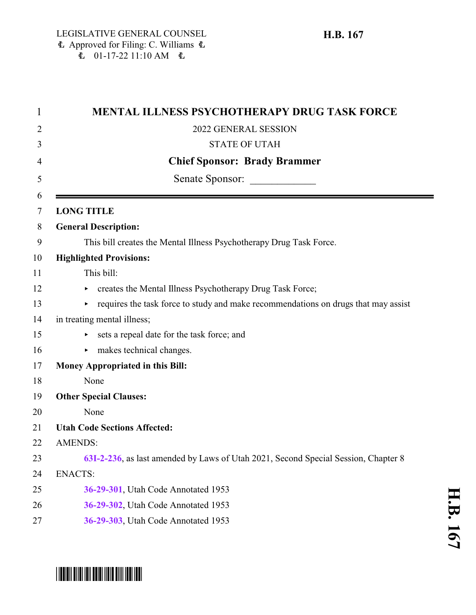| 1      | <b>MENTAL ILLNESS PSYCHOTHERAPY DRUG TASK FORCE</b>                                      |
|--------|------------------------------------------------------------------------------------------|
| 2      | 2022 GENERAL SESSION                                                                     |
| 3      | <b>STATE OF UTAH</b>                                                                     |
| 4      | <b>Chief Sponsor: Brady Brammer</b>                                                      |
| 5      | Senate Sponsor:                                                                          |
| 6<br>7 | <b>LONG TITLE</b>                                                                        |
| 8      | <b>General Description:</b>                                                              |
| 9      | This bill creates the Mental Illness Psychotherapy Drug Task Force.                      |
| 10     | <b>Highlighted Provisions:</b>                                                           |
| 11     | This bill:                                                                               |
| 12     | creates the Mental Illness Psychotherapy Drug Task Force;                                |
| 13     | requires the task force to study and make recommendations on drugs that may assist<br>Þ. |
| 14     | in treating mental illness;                                                              |
| 15     | sets a repeal date for the task force; and                                               |
| 16     | $\triangleright$ makes technical changes.                                                |
| 17     | <b>Money Appropriated in this Bill:</b>                                                  |
| 18     | None                                                                                     |
| 19     | <b>Other Special Clauses:</b>                                                            |
| 20     | None                                                                                     |
| 21     | <b>Utah Code Sections Affected:</b>                                                      |
| 22     | <b>AMENDS:</b>                                                                           |
| 23     | 63I-2-236, as last amended by Laws of Utah 2021, Second Special Session, Chapter 8       |
| 24     | <b>ENACTS:</b>                                                                           |
| 25     | 36-29-301, Utah Code Annotated 1953                                                      |
| 26     | 36-29-302, Utah Code Annotated 1953                                                      |

**[36-29-303](#page-2-0)**, Utah Code Annotated 1953

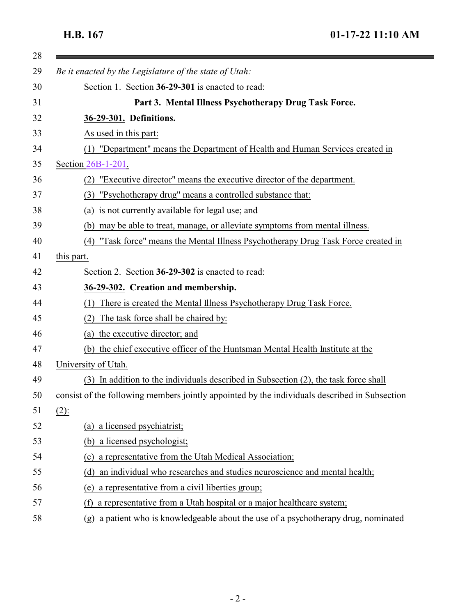$\equiv$ 

<span id="page-1-1"></span><span id="page-1-0"></span>

|         | Be it enacted by the Legislature of the state of Utah:                                              |
|---------|-----------------------------------------------------------------------------------------------------|
|         | Section 1. Section 36-29-301 is enacted to read:                                                    |
|         | Part 3. Mental Illness Psychotherapy Drug Task Force.                                               |
|         | 36-29-301. Definitions.                                                                             |
|         | As used in this part:                                                                               |
|         | (1) "Department" means the Department of Health and Human Services created in                       |
|         | Section 26B-1-201.                                                                                  |
|         | "Executive director" means the executive director of the department.<br>(2)                         |
|         | "Psychotherapy drug" means a controlled substance that:<br>(3)                                      |
|         | (a) is not currently available for legal use; and                                                   |
|         | (b) may be able to treat, manage, or alleviate symptoms from mental illness.                        |
|         | "Task force" means the Mental Illness Psychotherapy Drug Task Force created in<br>(4)               |
|         | this part.                                                                                          |
|         | Section 2. Section 36-29-302 is enacted to read:                                                    |
|         | 36-29-302. Creation and membership.                                                                 |
|         | There is created the Mental Illness Psychotherapy Drug Task Force.<br>(1)                           |
|         | The task force shall be chaired by:                                                                 |
|         | (a) the executive director; and                                                                     |
|         | (b) the chief executive officer of the Huntsman Mental Health Institute at the                      |
|         | University of Utah.                                                                                 |
|         | (3) In addition to the individuals described in Subsection (2), the task force shall                |
|         | consist of the following members jointly appointed by the individuals described in Subsection       |
| $(2)$ : |                                                                                                     |
|         | (a) a licensed psychiatrist;                                                                        |
|         | a licensed psychologist;<br>(b)                                                                     |
|         | a representative from the Utah Medical Association;<br>(c)                                          |
|         | an individual who researches and studies neuroscience and mental health;<br>(d)                     |
|         | a representative from a civil liberties group;<br>(e)                                               |
|         | a representative from a Utah hospital or a major healthcare system;<br>(f)                          |
|         | a patient who is knowledgeable about the use of a psychotherapy drug, nominated<br>$(\mathfrak{g})$ |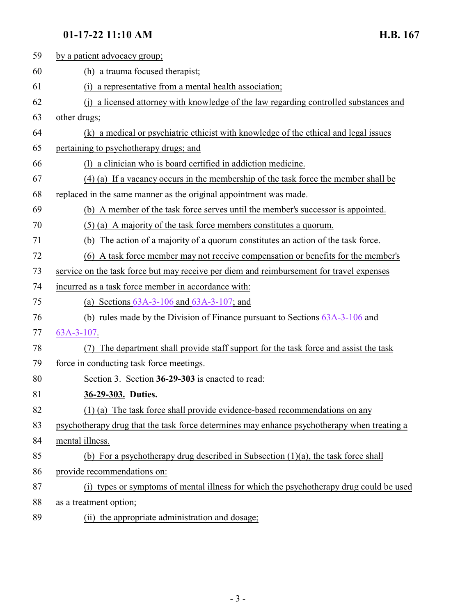## **01-17-22 11:10 AM H.B. 167**

<span id="page-2-0"></span>

| 59 | by a patient advocacy group;                                                                |
|----|---------------------------------------------------------------------------------------------|
| 60 | (h) a trauma focused therapist;                                                             |
| 61 | a representative from a mental health association;<br>(i)                                   |
| 62 | (j) a licensed attorney with knowledge of the law regarding controlled substances and       |
| 63 | other drugs;                                                                                |
| 64 | (k) a medical or psychiatric ethicist with knowledge of the ethical and legal issues        |
| 65 | pertaining to psychotherapy drugs; and                                                      |
| 66 | (1) a clinician who is board certified in addiction medicine.                               |
| 67 | (4) (a) If a vacancy occurs in the membership of the task force the member shall be         |
| 68 | replaced in the same manner as the original appointment was made.                           |
| 69 | (b) A member of the task force serves until the member's successor is appointed.            |
| 70 | $(5)$ (a) A majority of the task force members constitutes a quorum.                        |
| 71 | (b) The action of a majority of a quorum constitutes an action of the task force.           |
| 72 | (6) A task force member may not receive compensation or benefits for the member's           |
| 73 | service on the task force but may receive per diem and reimbursement for travel expenses    |
| 74 | incurred as a task force member in accordance with:                                         |
| 75 | (a) Sections $63A-3-106$ and $63A-3-107$ ; and                                              |
| 76 | (b) rules made by the Division of Finance pursuant to Sections $63A-3-106$ and              |
| 77 | 63A-3-107.                                                                                  |
| 78 | The department shall provide staff support for the task force and assist the task<br>(7)    |
| 79 | force in conducting task force meetings.                                                    |
| 80 | Section 3. Section 36-29-303 is enacted to read:                                            |
| 81 | 36-29-303. Duties.                                                                          |
| 82 | (1) (a) The task force shall provide evidence-based recommendations on any                  |
| 83 | psychotherapy drug that the task force determines may enhance psychotherapy when treating a |
| 84 | mental illness.                                                                             |
| 85 | (b) For a psychotherapy drug described in Subsection $(1)(a)$ , the task force shall        |
| 86 | provide recommendations on:                                                                 |
| 87 | (i) types or symptoms of mental illness for which the psychotherapy drug could be used      |
| 88 | as a treatment option;                                                                      |
| 89 | (ii) the appropriate administration and dosage;                                             |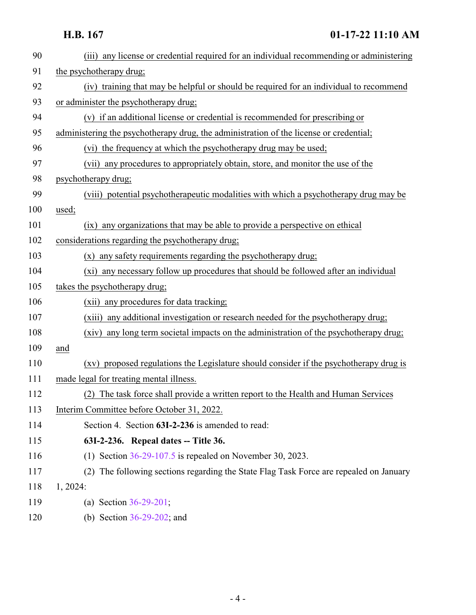<span id="page-3-0"></span>

| 90  | (iii) any license or credential required for an individual recommending or administering  |
|-----|-------------------------------------------------------------------------------------------|
| 91  | the psychotherapy drug;                                                                   |
| 92  | (iv) training that may be helpful or should be required for an individual to recommend    |
| 93  | or administer the psychotherapy drug;                                                     |
| 94  | (v) if an additional license or credential is recommended for prescribing or              |
| 95  | administering the psychotherapy drug, the administration of the license or credential;    |
| 96  | (vi) the frequency at which the psychotherapy drug may be used;                           |
| 97  | any procedures to appropriately obtain, store, and monitor the use of the<br>(vii)        |
| 98  | psychotherapy drug;                                                                       |
| 99  | (viii) potential psychotherapeutic modalities with which a psychotherapy drug may be      |
| 100 | used;                                                                                     |
| 101 | (ix) any organizations that may be able to provide a perspective on ethical               |
| 102 | considerations regarding the psychotherapy drug;                                          |
| 103 | any safety requirements regarding the psychotherapy drug;<br>(x)                          |
| 104 | any necessary follow up procedures that should be followed after an individual<br>$(x_i)$ |
| 105 | takes the psychotherapy drug;                                                             |
| 106 | (xii) any procedures for data tracking;                                                   |
| 107 | any additional investigation or research needed for the psychotherapy drug;<br>(xiii)     |
| 108 | (xiv) any long term societal impacts on the administration of the psychotherapy drug;     |
| 109 | and                                                                                       |
| 110 | (xv) proposed regulations the Legislature should consider if the psychotherapy drug is    |
| 111 | made legal for treating mental illness.                                                   |
| 112 | (2) The task force shall provide a written report to the Health and Human Services        |
| 113 | Interim Committee before October 31, 2022.                                                |
| 114 | Section 4. Section 63I-2-236 is amended to read:                                          |
| 115 | 63I-2-236. Repeal dates -- Title 36.                                                      |
| 116 | (1) Section $36-29-107.5$ is repealed on November 30, 2023.                               |
| 117 | (2) The following sections regarding the State Flag Task Force are repealed on January    |
| 118 | 1, 2024:                                                                                  |
| 119 | (a) Section $36-29-201$ ;                                                                 |
| 120 | (b) Section $36-29-202$ ; and                                                             |